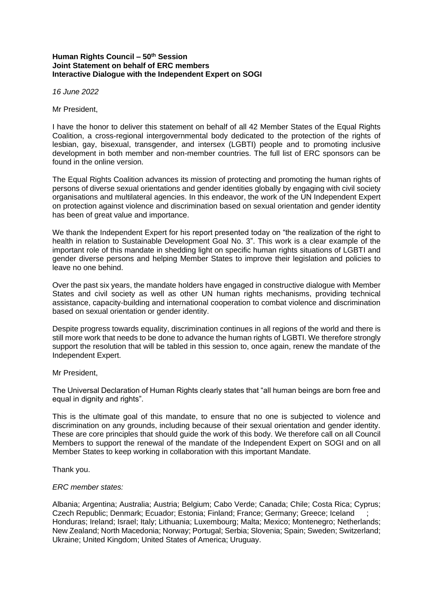## **Human Rights Council – 50th Session Joint Statement on behalf of ERC members Interactive Dialogue with the Independent Expert on SOGI**

*16 June 2022*

Mr President,

I have the honor to deliver this statement on behalf of all 42 Member States of the Equal Rights Coalition, a cross-regional intergovernmental body dedicated to the protection of the rights of lesbian, gay, bisexual, transgender, and intersex (LGBTI) people and to promoting inclusive development in both member and non-member countries. The full list of ERC sponsors can be found in the online version.

The Equal Rights Coalition advances its mission of protecting and promoting the human rights of persons of diverse sexual orientations and gender identities globally by engaging with civil society organisations and multilateral agencies. In this endeavor, the work of the UN Independent Expert on protection against violence and discrimination based on sexual orientation and gender identity has been of great value and importance.

We thank the Independent Expert for his report presented today on "the realization of the right to health in relation to Sustainable Development Goal No. 3". This work is a clear example of the important role of this mandate in shedding light on specific human rights situations of LGBTI and gender diverse persons and helping Member States to improve their legislation and policies to leave no one behind.

Over the past six years, the mandate holders have engaged in constructive dialogue with Member States and civil society as well as other UN human rights mechanisms, providing technical assistance, capacity-building and international cooperation to combat violence and discrimination based on sexual orientation or gender identity.

Despite progress towards equality, discrimination continues in all regions of the world and there is still more work that needs to be done to advance the human rights of LGBTI. We therefore strongly support the resolution that will be tabled in this session to, once again, renew the mandate of the Independent Expert.

## Mr President,

The Universal Declaration of Human Rights clearly states that "all human beings are born free and equal in dignity and rights".

This is the ultimate goal of this mandate, to ensure that no one is subjected to violence and discrimination on any grounds, including because of their sexual orientation and gender identity. These are core principles that should guide the work of this body. We therefore call on all Council Members to support the renewal of the mandate of the Independent Expert on SOGI and on all Member States to keep working in collaboration with this important Mandate.

Thank you.

## *ERC member states:*

Albania; Argentina; Australia; Austria; Belgium; Cabo Verde; Canada; Chile; Costa Rica; Cyprus; Czech Republic; Denmark; Ecuador; Estonia; Finland; France; Germany; Greece; Iceland ; Honduras; Ireland; Israel; Italy; Lithuania; Luxembourg; Malta; Mexico; Montenegro; Netherlands; New Zealand; North Macedonia; Norway; Portugal; Serbia; Slovenia; Spain; Sweden; Switzerland; Ukraine; United Kingdom; United States of America; Uruguay.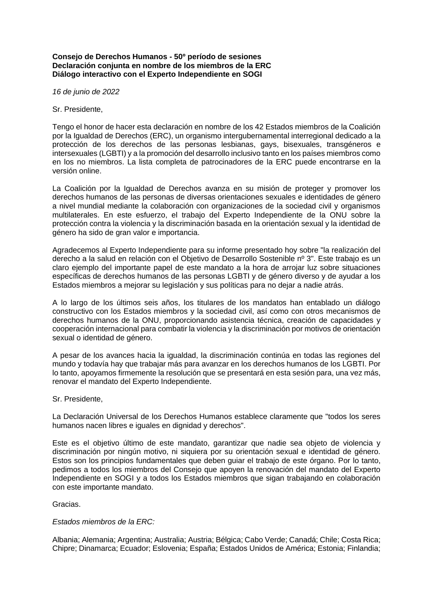## **Consejo de Derechos Humanos - 50º período de sesiones Declaración conjunta en nombre de los miembros de la ERC Diálogo interactivo con el Experto Independiente en SOGI**

*16 de junio de 2022*

Sr. Presidente,

Tengo el honor de hacer esta declaración en nombre de los 42 Estados miembros de la Coalición por la Igualdad de Derechos (ERC), un organismo intergubernamental interregional dedicado a la protección de los derechos de las personas lesbianas, gays, bisexuales, transgéneros e intersexuales (LGBTI) y a la promoción del desarrollo inclusivo tanto en los países miembros como en los no miembros. La lista completa de patrocinadores de la ERC puede encontrarse en la versión online.

La Coalición por la Igualdad de Derechos avanza en su misión de proteger y promover los derechos humanos de las personas de diversas orientaciones sexuales e identidades de género a nivel mundial mediante la colaboración con organizaciones de la sociedad civil y organismos multilaterales. En este esfuerzo, el trabajo del Experto Independiente de la ONU sobre la protección contra la violencia y la discriminación basada en la orientación sexual y la identidad de género ha sido de gran valor e importancia.

Agradecemos al Experto Independiente para su informe presentado hoy sobre "la realización del derecho a la salud en relación con el Objetivo de Desarrollo Sostenible nº 3". Este trabajo es un claro ejemplo del importante papel de este mandato a la hora de arrojar luz sobre situaciones específicas de derechos humanos de las personas LGBTI y de género diverso y de ayudar a los Estados miembros a mejorar su legislación y sus políticas para no dejar a nadie atrás.

A lo largo de los últimos seis años, los titulares de los mandatos han entablado un diálogo constructivo con los Estados miembros y la sociedad civil, así como con otros mecanismos de derechos humanos de la ONU, proporcionando asistencia técnica, creación de capacidades y cooperación internacional para combatir la violencia y la discriminación por motivos de orientación sexual o identidad de género.

A pesar de los avances hacia la igualdad, la discriminación continúa en todas las regiones del mundo y todavía hay que trabajar más para avanzar en los derechos humanos de los LGBTI. Por lo tanto, apoyamos firmemente la resolución que se presentará en esta sesión para, una vez más, renovar el mandato del Experto Independiente.

Sr. Presidente,

La Declaración Universal de los Derechos Humanos establece claramente que "todos los seres humanos nacen libres e iguales en dignidad y derechos".

Este es el objetivo último de este mandato, garantizar que nadie sea objeto de violencia y discriminación por ningún motivo, ni siquiera por su orientación sexual e identidad de género. Estos son los principios fundamentales que deben guiar el trabajo de este órgano. Por lo tanto, pedimos a todos los miembros del Consejo que apoyen la renovación del mandato del Experto Independiente en SOGI y a todos los Estados miembros que sigan trabajando en colaboración con este importante mandato.

Gracias.

*Estados miembros de la ERC:*

Albania; Alemania; Argentina; Australia; Austria; Bélgica; Cabo Verde; Canadá; Chile; Costa Rica; Chipre; Dinamarca; Ecuador; Eslovenia; España; Estados Unidos de América; Estonia; Finlandia;